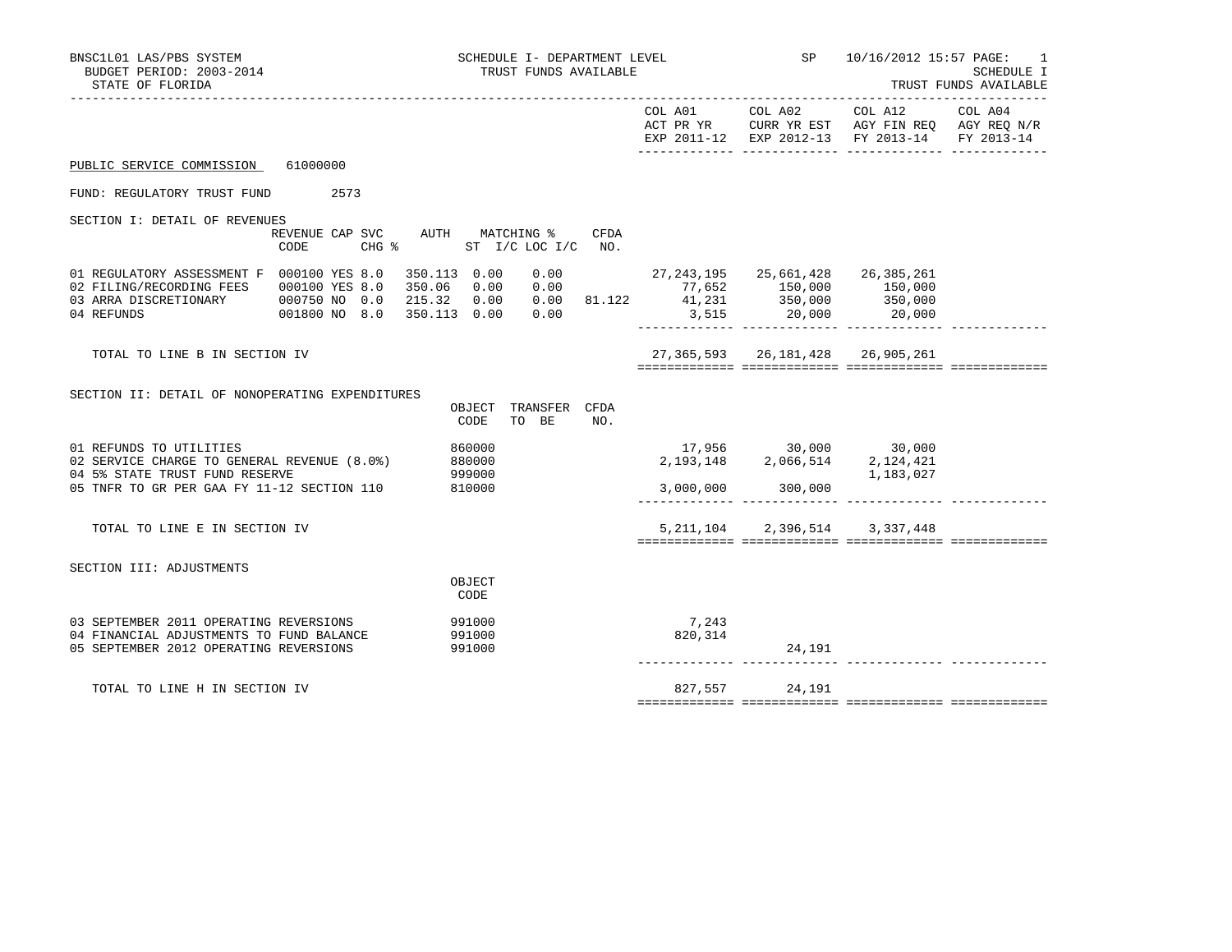| BNSC1L01 LAS/PBS SYSTEM<br>BUDGET PERIOD: 2003-2014<br>STATE OF FLORIDA                                                                                                                                 | SCHEDULE I- DEPARTMENT LEVEL<br>TRUST FUNDS AVAILABLE                                                                                                                                                               | SP 10/16/2012 15:57 PAGE:<br>-1<br><b>SCHEDULE I</b><br>TRUST FUNDS AVAILABLE<br>--------------------------- |                                                                                                                                                      |                                                                                                                                                                                                                                                                                                        |  |
|---------------------------------------------------------------------------------------------------------------------------------------------------------------------------------------------------------|---------------------------------------------------------------------------------------------------------------------------------------------------------------------------------------------------------------------|--------------------------------------------------------------------------------------------------------------|------------------------------------------------------------------------------------------------------------------------------------------------------|--------------------------------------------------------------------------------------------------------------------------------------------------------------------------------------------------------------------------------------------------------------------------------------------------------|--|
|                                                                                                                                                                                                         |                                                                                                                                                                                                                     | COL A01 COL A02                                                                                              |                                                                                                                                                      | COL A12 COL A04<br>$\begin{tabular}{lllllllllll} \bf{ACT} & \bf{PR} & \bf{YR} & \bf{CURR} & \bf{YR} & \bf{EST} & \bf{AGY} & \bf{FIN} & \bf{REQ} & \bf{AGY} & \bf{REQ} & \bf{N/R} \\ \bf{EXP} & \bf{2011-12} & \bf{EXP} & \bf{2012-13} & \bf{FY} & \bf{2013-14} & \bf{FY} & \bf{2013-14} \end{tabular}$ |  |
| PUBLIC SERVICE COMMISSION 61000000                                                                                                                                                                      |                                                                                                                                                                                                                     |                                                                                                              |                                                                                                                                                      |                                                                                                                                                                                                                                                                                                        |  |
| FUND: REGULATORY TRUST FUND 2573                                                                                                                                                                        |                                                                                                                                                                                                                     |                                                                                                              |                                                                                                                                                      |                                                                                                                                                                                                                                                                                                        |  |
| SECTION I: DETAIL OF REVENUES                                                                                                                                                                           |                                                                                                                                                                                                                     |                                                                                                              |                                                                                                                                                      |                                                                                                                                                                                                                                                                                                        |  |
| REVENUE CAP SVC AUTH MATCHING %<br>CODE                                                                                                                                                                 | CFDA<br>CHG % ST I/C LOC I/C NO.                                                                                                                                                                                    |                                                                                                              |                                                                                                                                                      |                                                                                                                                                                                                                                                                                                        |  |
| 01 REGULATORY ASSESSMENT F 000100 YES 8.0 350.113 0.00<br>02 FILING/RECORDING FEES 000100 YES 8.0 350.06<br>03 ARRA DISCRETIONARY 000750 NO 0.0 215.32 0.00<br>04 REFUNDS<br>001800 NO 8.0 350.113 0.00 | $0.00$ $27,243,195$ $25,661,428$ $26,385,261$<br>$0.00$ $77,652$ $150,000$ $150,000$<br>0.00<br>$\begin{array}{cccccccc} 0.00 & 81.122 & 41,231 & 350,000 & 350,000 \ 0.00 & 3,515 & 20,000 & 20,000 \ \end{array}$ |                                                                                                              | 77,652 150,000 150,000                                                                                                                               |                                                                                                                                                                                                                                                                                                        |  |
| TOTAL TO LINE B IN SECTION IV                                                                                                                                                                           |                                                                                                                                                                                                                     |                                                                                                              | 27, 365, 593 26, 181, 428 26, 905, 261                                                                                                               |                                                                                                                                                                                                                                                                                                        |  |
| SECTION II: DETAIL OF NONOPERATING EXPENDITURES                                                                                                                                                         | OBJECT TRANSFER CFDA<br>CODE<br>TO BE<br>NO.                                                                                                                                                                        |                                                                                                              |                                                                                                                                                      |                                                                                                                                                                                                                                                                                                        |  |
| 01 REFUNDS TO UTILITIES<br>02 SERVICE CHARGE TO GENERAL REVENUE (8.0%)<br>04 5% STATE TRUST FUND RESERVE<br>05 TNFR TO GR PER GAA FY 11-12 SECTION 110                                                  | 860000<br>880000<br>999000<br>810000                                                                                                                                                                                |                                                                                                              | $\begin{array}{cccc} 17,956 & \quad & 30,000 & \quad & 30,000 \\ 2,193,148 & \quad & 2,066,514 & \quad & 2,124,421 \end{array}$<br>3,000,000 300,000 | 1,183,027                                                                                                                                                                                                                                                                                              |  |
|                                                                                                                                                                                                         |                                                                                                                                                                                                                     |                                                                                                              |                                                                                                                                                      |                                                                                                                                                                                                                                                                                                        |  |
| TOTAL TO LINE E IN SECTION IV                                                                                                                                                                           |                                                                                                                                                                                                                     |                                                                                                              | 5, 211, 104 2, 396, 514 3, 337, 448                                                                                                                  |                                                                                                                                                                                                                                                                                                        |  |
| SECTION III: ADJUSTMENTS                                                                                                                                                                                | OBJECT<br>CODE                                                                                                                                                                                                      |                                                                                                              |                                                                                                                                                      |                                                                                                                                                                                                                                                                                                        |  |
| 03 SEPTEMBER 2011 OPERATING REVERSIONS<br>04 FINANCIAL ADJUSTMENTS TO FUND BALANCE<br>05 SEPTEMBER 2012 OPERATING REVERSIONS                                                                            | 991000<br>991000<br>991000                                                                                                                                                                                          | 7,243<br>820,314                                                                                             | 24,191                                                                                                                                               |                                                                                                                                                                                                                                                                                                        |  |
| TOTAL TO LINE H IN SECTION IV                                                                                                                                                                           |                                                                                                                                                                                                                     |                                                                                                              | 827,557 24,191                                                                                                                                       |                                                                                                                                                                                                                                                                                                        |  |